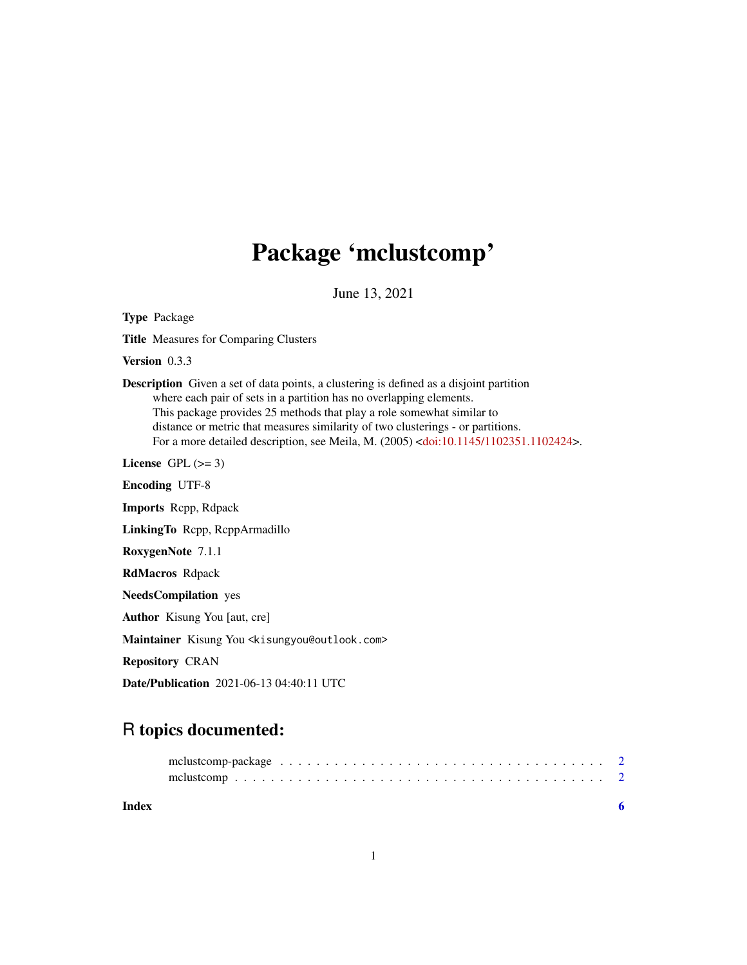## Package 'mclustcomp'

June 13, 2021

Type Package Title Measures for Comparing Clusters Version 0.3.3 Description Given a set of data points, a clustering is defined as a disjoint partition where each pair of sets in a partition has no overlapping elements. This package provides 25 methods that play a role somewhat similar to distance or metric that measures similarity of two clusterings - or partitions. For a more detailed description, see Meila, M. (2005) [<doi:10.1145/1102351.1102424>](https://doi.org/10.1145/1102351.1102424). License GPL  $(>= 3)$ Encoding UTF-8 Imports Rcpp, Rdpack LinkingTo Rcpp, RcppArmadillo RoxygenNote 7.1.1 RdMacros Rdpack NeedsCompilation yes Author Kisung You [aut, cre] Maintainer Kisung You <kisungyou@outlook.com> Repository CRAN Date/Publication 2021-06-13 04:40:11 UTC

### R topics documented:

| Index |  |
|-------|--|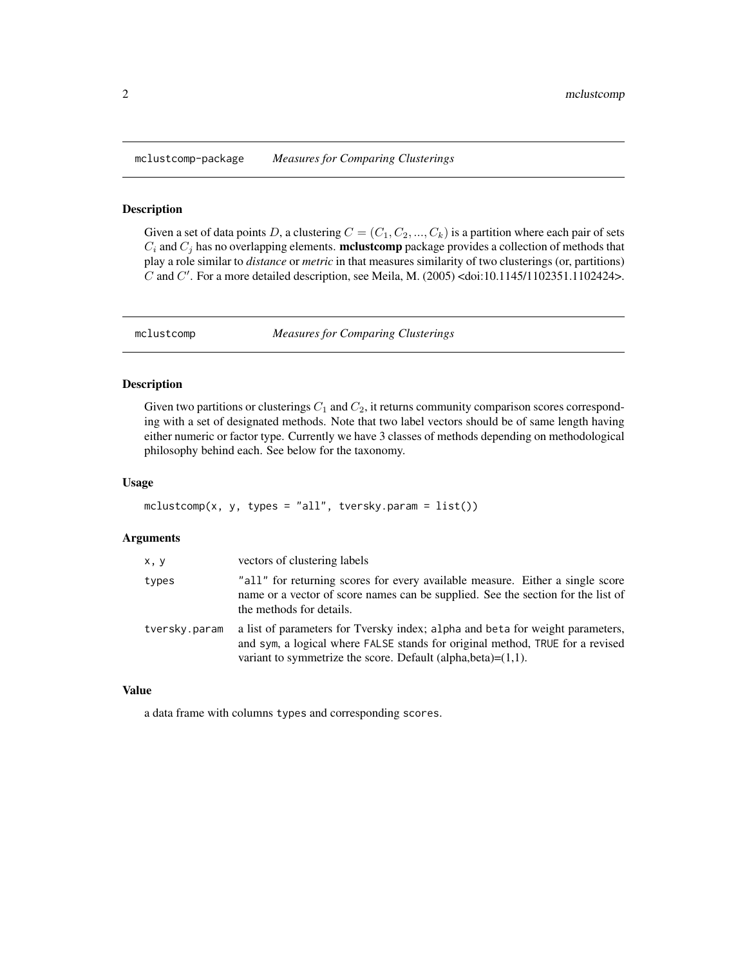<span id="page-1-0"></span>mclustcomp-package *Measures for Comparing Clusterings*

#### Description

Given a set of data points D, a clustering  $C = (C_1, C_2, ..., C_k)$  is a partition where each pair of sets  $C_i$  and  $C_j$  has no overlapping elements. **mclustcomp** package provides a collection of methods that play a role similar to *distance* or *metric* in that measures similarity of two clusterings (or, partitions) C and C'. For a more detailed description, see Meila, M. (2005) <doi:10.1145/1102351.1102424>.

mclustcomp *Measures for Comparing Clusterings*

#### Description

Given two partitions or clusterings  $C_1$  and  $C_2$ , it returns community comparison scores corresponding with a set of designated methods. Note that two label vectors should be of same length having either numeric or factor type. Currently we have 3 classes of methods depending on methodological philosophy behind each. See below for the taxonomy.

#### Usage

 $mclustcomp(x, y, types = "all", tversky.param = list())$ 

#### Arguments

| x, y          | vectors of clustering labels                                                                                                                                                                                                        |
|---------------|-------------------------------------------------------------------------------------------------------------------------------------------------------------------------------------------------------------------------------------|
| types         | "all" for returning scores for every available measure. Either a single score<br>name or a vector of score names can be supplied. See the section for the list of<br>the methods for details.                                       |
| tversky.param | a list of parameters for Tversky index; alpha and beta for weight parameters,<br>and sym, a logical where FALSE stands for original method, TRUE for a revised<br>variant to symmetrize the score. Default (alpha, beta)= $(1,1)$ . |

#### Value

a data frame with columns types and corresponding scores.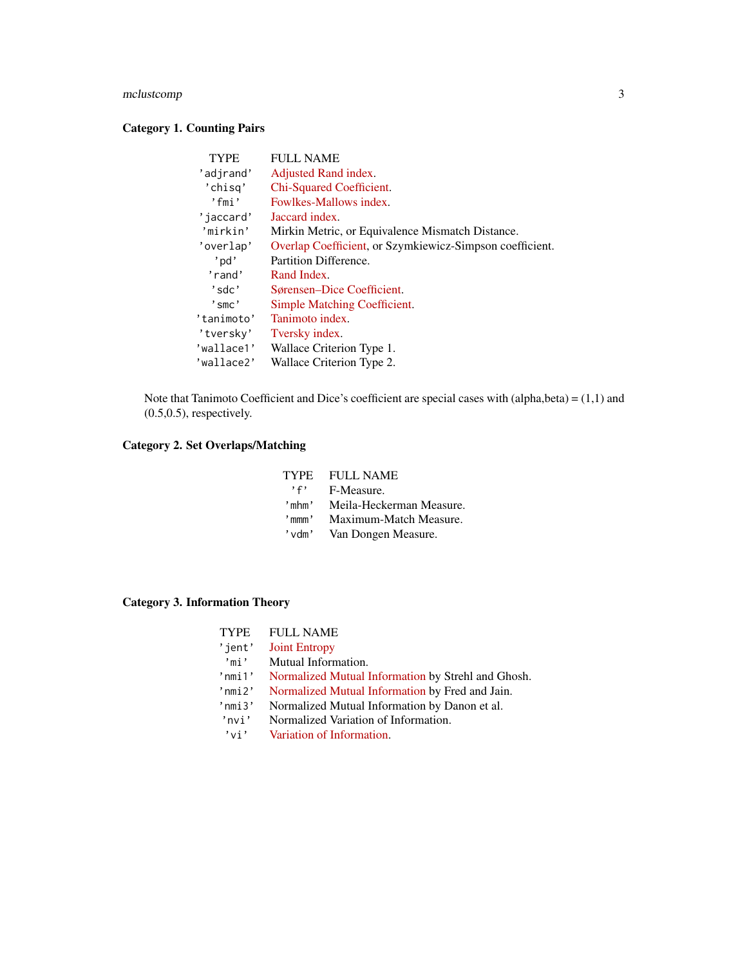#### mclustcomp 3

#### Category 1. Counting Pairs

| <b>TYPE</b>             | <b>FULL NAME</b>                                         |
|-------------------------|----------------------------------------------------------|
| 'adjrand'               | Adjusted Rand index.                                     |
| 'chisg'                 | Chi-Squared Coefficient.                                 |
| 'fmi'                   | Fowlkes-Mallows index.                                   |
| 'iaccard'               | Jaccard index.                                           |
| 'mirkin'                | Mirkin Metric, or Equivalence Mismatch Distance.         |
| 'overlap'               | Overlap Coefficient, or Szymkiewicz-Simpson coefficient. |
| 'pd'                    | Partition Difference.                                    |
| 'rand'                  | Rand Index.                                              |
| 'sdc'                   | Sørensen–Dice Coefficient.                               |
| $\degree$ smc $\degree$ | Simple Matching Coefficient.                             |
| 'tanimoto'              | Tanimoto index.                                          |
| 'tversky'               | Tversky index.                                           |
| 'wallace1'              | Wallace Criterion Type 1.                                |
| 'wallace2'              | Wallace Criterion Type 2.                                |

Note that Tanimoto Coefficient and Dice's coefficient are special cases with (alpha,beta) = (1,1) and (0.5,0.5), respectively.

#### Category 2. Set Overlaps/Matching

| TYPE        | FULL NAME                |
|-------------|--------------------------|
| , f,        | F-Measure.               |
| 'mhm'       | Meila-Heckerman Measure. |
| $'$ mmm $'$ | Maximum-Match Measure.   |
| 'vdm'       | Van Dongen Measure.      |
|             |                          |

#### Category 3. Information Theory

| <b>TYPE</b>  | <b>FULL NAME</b>                                   |
|--------------|----------------------------------------------------|
| 'jent'       | <b>Joint Entropy</b>                               |
| 'mi'         | Mutual Information.                                |
| $'$ nmi $1'$ | Normalized Mutual Information by Strehl and Ghosh. |
| $'$ nmi $2'$ | Normalized Mutual Information by Fred and Jain.    |
| $'$ nmi $3'$ | Normalized Mutual Information by Danon et al.      |
| 'nvi'        | Normalized Variation of Information.               |
| $'$ vi'      | Variation of Information.                          |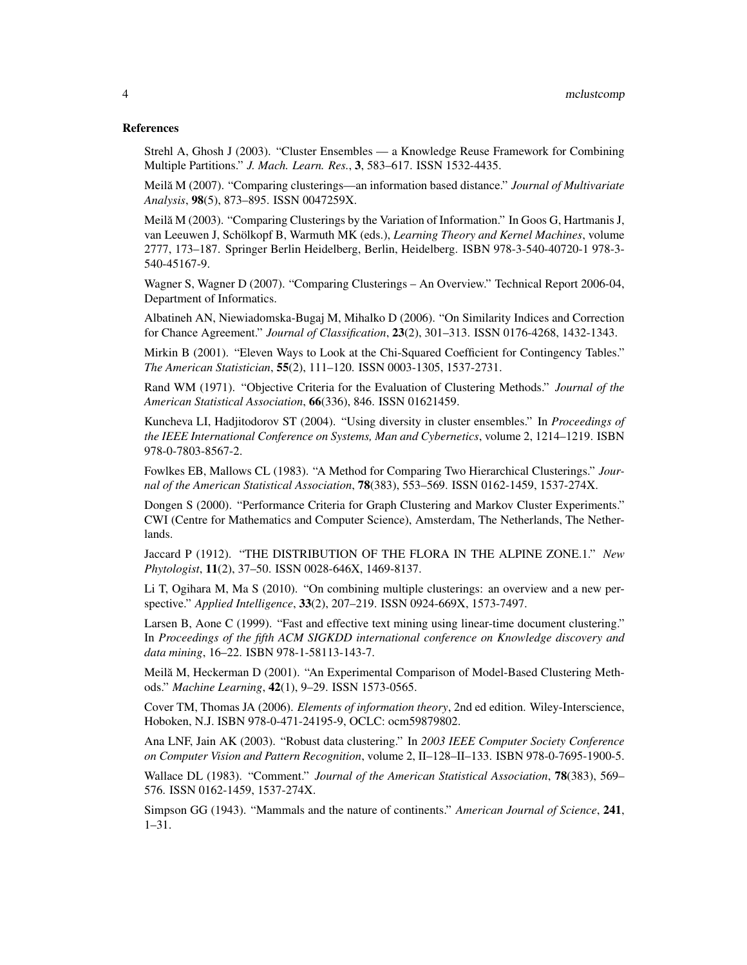#### References

Strehl A, Ghosh J (2003). "Cluster Ensembles — a Knowledge Reuse Framework for Combining Multiple Partitions." *J. Mach. Learn. Res.*, 3, 583–617. ISSN 1532-4435.

Meila M (2007). "Comparing clusterings—an information based distance." ˘ *Journal of Multivariate Analysis*, 98(5), 873–895. ISSN 0047259X.

Meilă M (2003). "Comparing Clusterings by the Variation of Information." In Goos G, Hartmanis J, van Leeuwen J, Schölkopf B, Warmuth MK (eds.), *Learning Theory and Kernel Machines*, volume 2777, 173–187. Springer Berlin Heidelberg, Berlin, Heidelberg. ISBN 978-3-540-40720-1 978-3- 540-45167-9.

Wagner S, Wagner D (2007). "Comparing Clusterings – An Overview." Technical Report 2006-04, Department of Informatics.

Albatineh AN, Niewiadomska-Bugaj M, Mihalko D (2006). "On Similarity Indices and Correction for Chance Agreement." *Journal of Classification*, 23(2), 301–313. ISSN 0176-4268, 1432-1343.

Mirkin B (2001). "Eleven Ways to Look at the Chi-Squared Coefficient for Contingency Tables." *The American Statistician*, 55(2), 111–120. ISSN 0003-1305, 1537-2731.

Rand WM (1971). "Objective Criteria for the Evaluation of Clustering Methods." *Journal of the American Statistical Association*, 66(336), 846. ISSN 01621459.

Kuncheva LI, Hadjitodorov ST (2004). "Using diversity in cluster ensembles." In *Proceedings of the IEEE International Conference on Systems, Man and Cybernetics*, volume 2, 1214–1219. ISBN 978-0-7803-8567-2.

Fowlkes EB, Mallows CL (1983). "A Method for Comparing Two Hierarchical Clusterings." *Journal of the American Statistical Association*, 78(383), 553–569. ISSN 0162-1459, 1537-274X.

Dongen S (2000). "Performance Criteria for Graph Clustering and Markov Cluster Experiments." CWI (Centre for Mathematics and Computer Science), Amsterdam, The Netherlands, The Netherlands.

Jaccard P (1912). "THE DISTRIBUTION OF THE FLORA IN THE ALPINE ZONE.1." *New Phytologist*, 11(2), 37–50. ISSN 0028-646X, 1469-8137.

Li T, Ogihara M, Ma S (2010). "On combining multiple clusterings: an overview and a new perspective." *Applied Intelligence*, 33(2), 207–219. ISSN 0924-669X, 1573-7497.

Larsen B, Aone C (1999). "Fast and effective text mining using linear-time document clustering." In *Proceedings of the fifth ACM SIGKDD international conference on Knowledge discovery and data mining*, 16–22. ISBN 978-1-58113-143-7.

Meila M, Heckerman D (2001). "An Experimental Comparison of Model-Based Clustering Meth- ˘ ods." *Machine Learning*, 42(1), 9–29. ISSN 1573-0565.

Cover TM, Thomas JA (2006). *Elements of information theory*, 2nd ed edition. Wiley-Interscience, Hoboken, N.J. ISBN 978-0-471-24195-9, OCLC: ocm59879802.

Ana LNF, Jain AK (2003). "Robust data clustering." In *2003 IEEE Computer Society Conference on Computer Vision and Pattern Recognition*, volume 2, II–128–II–133. ISBN 978-0-7695-1900-5.

Wallace DL (1983). "Comment." *Journal of the American Statistical Association*, 78(383), 569– 576. ISSN 0162-1459, 1537-274X.

Simpson GG (1943). "Mammals and the nature of continents." *American Journal of Science*, 241, 1–31.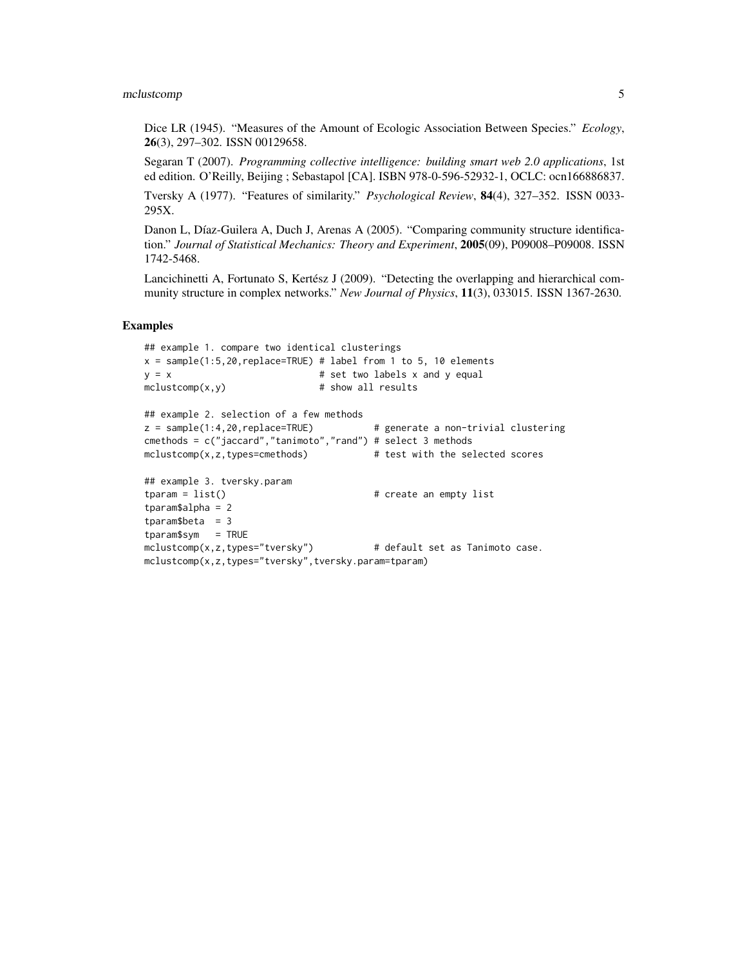#### mclustcomp 5

Dice LR (1945). "Measures of the Amount of Ecologic Association Between Species." *Ecology*, 26(3), 297–302. ISSN 00129658.

Segaran T (2007). *Programming collective intelligence: building smart web 2.0 applications*, 1st ed edition. O'Reilly, Beijing ; Sebastapol [CA]. ISBN 978-0-596-52932-1, OCLC: ocn166886837.

Tversky A (1977). "Features of similarity." *Psychological Review*, 84(4), 327–352. ISSN 0033- 295X.

Danon L, Díaz-Guilera A, Duch J, Arenas A (2005). "Comparing community structure identification." *Journal of Statistical Mechanics: Theory and Experiment*, 2005(09), P09008–P09008. ISSN 1742-5468.

Lancichinetti A, Fortunato S, Kertész J (2009). "Detecting the overlapping and hierarchical community structure in complex networks." *New Journal of Physics*, 11(3), 033015. ISSN 1367-2630.

#### Examples

```
## example 1. compare two identical clusterings
x = sample(1:5,20, replace=TRUE) # label from 1 to 5, 10 elementsy = x # set two labels x and y equal
mclustcomp(x, y) # show all results
## example 2. selection of a few methods
z = sample(1:4,20,replace=TRUE) # generate a non-trivial clustering
cmethods = c("jaccard","tanimoto","rand") # select 3 methods
mclustcomp(x,z,types=cmethods) # test with the selected scores
## example 3. tversky.param
tparam = list() \qquad # create an empty list
tparam$alpha = 2
tparam$beta = 3tparam$sym = TRUE
mclustcomp(x,z,types="tversky") # default set as Tanimoto case.
mclustcomp(x,z,types="tversky",tversky.param=tparam)
```